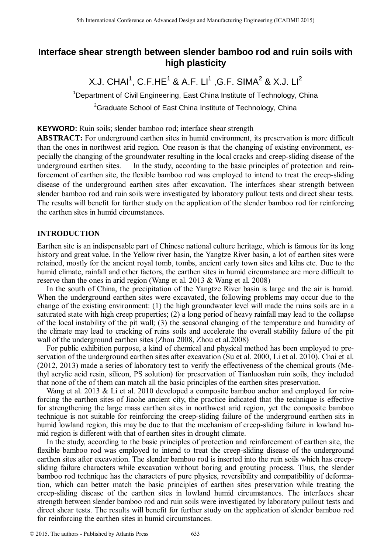# **Interface shear strength between slender bamboo rod and ruin soils with high plasticity**

X.J. CHAI $^1$ , C.F.HE $^1$  & A.F. LI $^1$  ,G.F. SIMA $^2$  & X.J. LI $^2$ 

<sup>1</sup>Department of Civil Engineering, East China Institute of Technology, China <sup>2</sup>Graduate School of East China Institute of Technology, China

**KEYWORD:** Ruin soils; slender bamboo rod; interface shear strength

**ABSTRACT:** For underground earthen sites in humid environment, its preservation is more difficult than the ones in northwest arid region. One reason is that the changing of existing environment, especially the changing of the groundwater resulting in the local cracks and creep-sliding disease of the underground earthen sites. In the study, according to the basic principles of protection and reinforcement of earthen site, the flexible bamboo rod was employed to intend to treat the creep-sliding disease of the underground earthen sites after excavation. The interfaces shear strength between slender bamboo rod and ruin soils were investigated by laboratory pullout tests and direct shear tests. The results will benefit for further study on the application of the slender bamboo rod for reinforcing the earthen sites in humid circumstances.

# **INTRODUCTION**

Earthen site is an indispensable part of Chinese national culture heritage, which is famous for its long history and great value. In the Yellow river basin, the Yangtze River basin, a lot of earthen sites were retained, mostly for the ancient royal tomb, tombs, ancient early town sites and kilns etc. Due to the humid climate, rainfall and other factors, the earthen sites in humid circumstance are more difficult to reserve than the ones in arid region (Wang et al. 2013 & Wang et al. 2008)

In the south of China, the precipitation of the Yangtze River basin is large and the air is humid. When the underground earthen sites were excavated, the following problems may occur due to the change of the existing environment: (1) the high groundwater level will made the ruins soils are in a saturated state with high creep properties; (2) a long period of heavy rainfall may lead to the collapse of the local instability of the pit wall; (3) the seasonal changing of the temperature and humidity of the climate may lead to cracking of ruins soils and accelerate the overall stability failure of the pit wall of the underground earthen sites (Zhou 2008, Zhou et al.2008)

For public exhibition purpose, a kind of chemical and physical method has been employed to preservation of the underground earthen sites after excavation (Su et al. 2000, Li et al. 2010). Chai et al. (2012, 2013) made a series of laboratory test to verify the effectiveness of the chemical grouts (Methyl acrylic acid resin, silicon, PS solution) for preservation of Tianluoshan ruin soils, they included that none of the of them can match all the basic principles of the earthen sites preservation.

Wang et al. 2013 & Li et al. 2010 developed a composite bamboo anchor and employed for reinforcing the earthen sites of Jiaohe ancient city, the practice indicated that the technique is effective for strengthening the large mass earthen sites in northwest arid region, yet the composite bamboo technique is not suitable for reinforcing the creep-sliding failure of the underground earthen sits in humid lowland region, this may be due to that the mechanism of creep-sliding failure in lowland humid region is different with that of earthen sites in drought climate.

In the study, according to the basic principles of protection and reinforcement of earthen site, the flexible bamboo rod was employed to intend to treat the creep-sliding disease of the underground earthen sites after excavation. The slender bamboo rod is inserted into the ruin soils which has creepsliding failure characters while excavation without boring and grouting process. Thus, the slender bamboo rod technique has the characters of pure physics, reversibility and compatibility of deformation, which can better match the basic principles of earthen sites preservation while treating the creep-sliding disease of the earthen sites in lowland humid circumstances. The interfaces shear strength between slender bamboo rod and ruin soils were investigated by laboratory pullout tests and direct shear tests. The results will benefit for further study on the application of slender bamboo rod for reinforcing the earthen sites in humid circumstances. 5th International Conference on Advanced Design and Manufacturing Engineering (CADME 2015)<br>
11. CHAI<sup>1</sup>, C.F. HE<sup>1</sup> & A. F. U. (S.F. SIMA<sup>2</sup> & X.J. U<sup>2</sup><br>
<sup>12</sup> Department of CoVi Engineering, East China Institute of Techno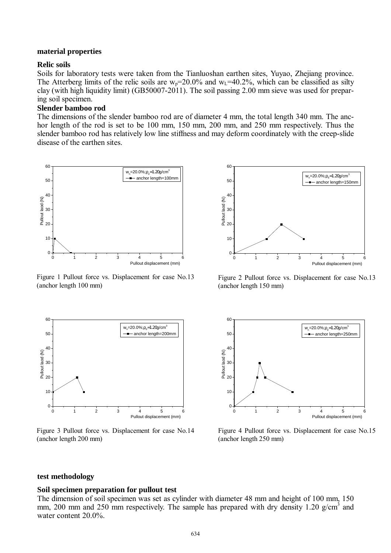### **material properties**

## **Relic soils**

Soils for laboratory tests were taken from the Tianluoshan earthen sites, Yuyao, Zhejiang province. The Atterberg limits of the relic soils are  $w_p=20.0\%$  and  $w_l=40.2\%$ , which can be classified as silty clay (with high liquidity limit) (GB50007-2011). The soil passing 2.00 mm sieve was used for preparing soil specimen.

# **Slender bamboo rod**

The dimensions of the slender bamboo rod are of diameter 4 mm, the total length 340 mm. The anchor length of the rod is set to be 100 mm, 150 mm, 200 mm, and 250 mm respectively. Thus the slender bamboo rod has relatively low line stiffness and may deform coordinately with the creep-slide disease of the earthen sites.



Figure 1 Pullout force vs. Displacement for case No.13 (anchor length 100 mm)



Figure 3 Pullout force vs. Displacement for case No.14 (anchor length 200 mm)



Figure 2 Pullout force vs. Displacement for case No.13 (anchor length 150 mm)



Figure 4 Pullout force vs. Displacement for case No.15 (anchor length 250 mm)

### **test methodology**

#### **Soil specimen preparation for pullout test**

The dimension of soil specimen was set as cylinder with diameter 48 mm and height of 100 mm, 150 mm, 200 mm and 250 mm respectively. The sample has prepared with dry density 1.20  $g/cm<sup>3</sup>$  and water content 20.0%.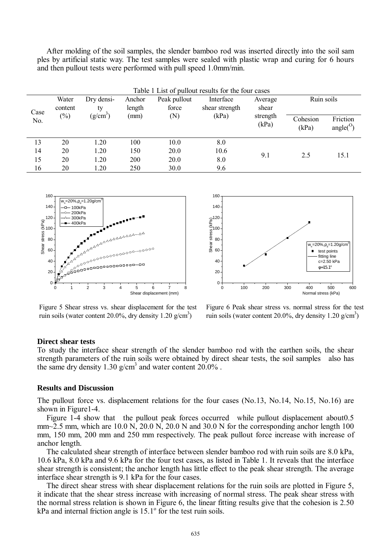After molding of the soil samples, the slender bamboo rod was inserted directly into the soil sam ples by artificial static way. The test samples were sealed with plastic wrap and curing for 6 hours and then pullout tests were performed with pull speed 1.0mm/min.

| Table 1 List of pullout results for the four cases |                            |                                |                          |                              |                                      |                                       |                   |                                |
|----------------------------------------------------|----------------------------|--------------------------------|--------------------------|------------------------------|--------------------------------------|---------------------------------------|-------------------|--------------------------------|
| Case<br>No.                                        | Water<br>content<br>$(\%)$ | Dry densi-<br>ty<br>$(g/cm^3)$ | Anchor<br>length<br>(mm) | Peak pullout<br>force<br>(N) | Interface<br>shear strength<br>(kPa) | Average<br>shear<br>strength<br>(kPa) | Ruin soils        |                                |
|                                                    |                            |                                |                          |                              |                                      |                                       | Cohesion<br>(kPa) | Friction<br>angle <sup>O</sup> |
| 13                                                 | 20                         | 1.20                           | 100                      | 10.0                         | 8.0                                  | 9.1                                   | 2.5               | 15.1                           |
| 14                                                 | 20                         | 1.20                           | 150                      | 20.0                         | 10.6                                 |                                       |                   |                                |
| 15                                                 | 20                         | 1.20                           | 200                      | 20.0                         | 8.0                                  |                                       |                   |                                |
| 16                                                 | 20                         | 1.20                           | 250                      | 30.0                         | 9.6                                  |                                       |                   |                                |





Figure 5 Shear stress vs. shear displacement for the test ruin soils (water content 20.0%, dry density 1.20  $g/cm<sup>3</sup>$ )

Figure 6 Peak shear stress vs. normal stress for the test ruin soils (water content 20.0%, dry density 1.20  $g/cm<sup>3</sup>$ )

### **Direct shear tests**

To study the interface shear strength of the slender bamboo rod with the earthen soils, the shear strength parameters of the ruin soils were obtained by direct shear tests, the soil samples also has the same dry density 1.30  $g/cm<sup>3</sup>$  and water content 20.0%.

### **Results and Discussion**

The pullout force vs. displacement relations for the four cases (No.13, No.14, No.15, No.16) are shown in Figure1-4.

Figure 1-4 show that the pullout peak forces occurred while pullout displacement about 0.5 mm~2.5 mm, which are 10.0 N, 20.0 N, 20.0 N and 30.0 N for the corresponding anchor length 100 mm, 150 mm, 200 mm and 250 mm respectively. The peak pullout force increase with increase of anchor length.

The calculated shear strength of interface between slender bamboo rod with ruin soils are 8.0 kPa, 10.6 kPa, 8.0 kPa and 9.6 kPa for the four test cases, as listed in Table 1. It reveals that the interface shear strength is consistent; the anchor length has little effect to the peak shear strength. The average interface shear strength is 9.1 kPa for the four cases.

The direct shear stress with shear displacement relations for the ruin soils are plotted in Figure 5, it indicate that the shear stress increase with increasing of normal stress. The peak shear stress with the normal stress relation is shown in Figure 6, the linear fitting results give that the cohesion is 2.50  $kPa$  and internal friction angle is  $15.1^\circ$  for the test ruin soils.